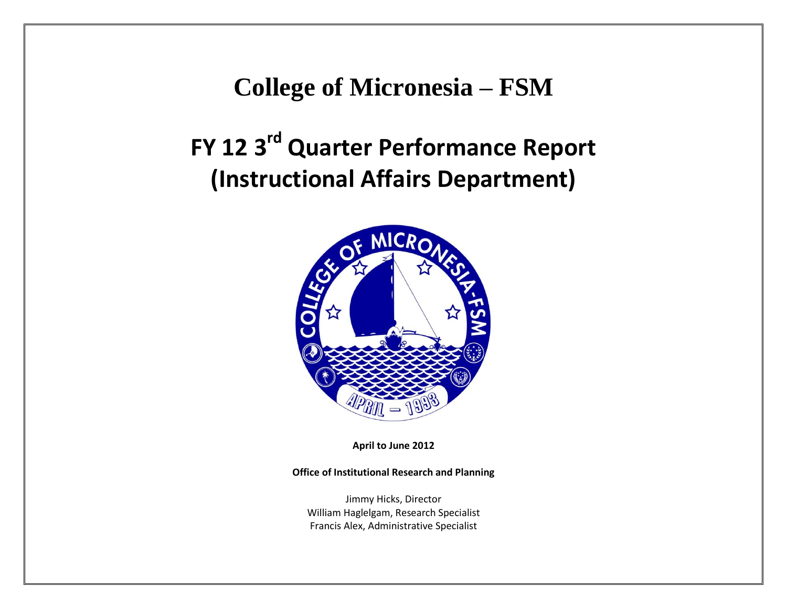**College of Micronesia – FSM**

## **FY 12 3rd Quarter Performance Report (Instructional Affairs Department)**



**April to June 2012**

**Office of Institutional Research and Planning**

Jimmy Hicks, Director William Haglelgam, Research Specialist Francis Alex, Administrative Specialist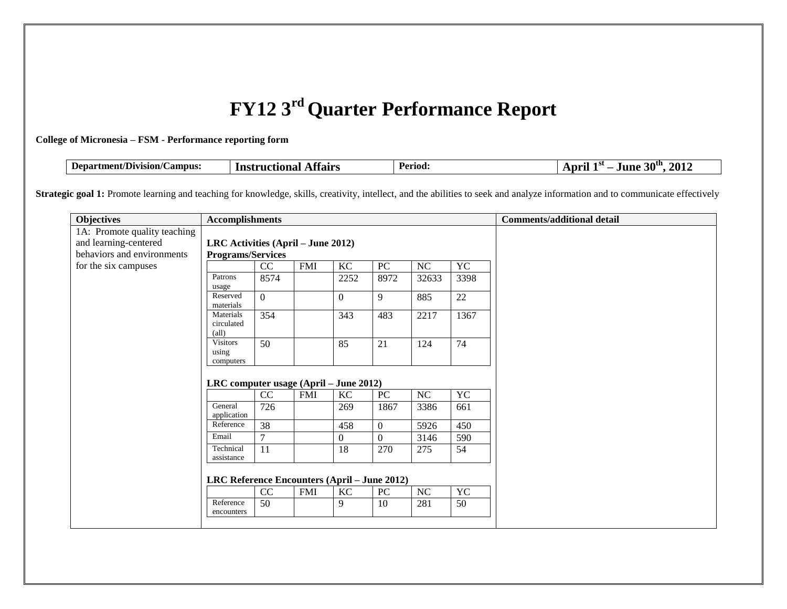## **FY12 3rd Quarter Performance Report**

## **College of Micronesia – FSM - Performance reporting form**

| Department/Division/C<br>ΩΩ<br>$\mathcal{L}$ ampus<br>Affairs<br>nonal<br>Inst<br>rnet | Period: | $20$ th<br>2012<br>.<br>June<br>.nr<br>JU. |
|----------------------------------------------------------------------------------------|---------|--------------------------------------------|
|----------------------------------------------------------------------------------------|---------|--------------------------------------------|

Strategic goal 1: Promote learning and teaching for knowledge, skills, creativity, intellect, and the abilities to seek and analyze information and to communicate effectively

| <b>Objectives</b>            | <b>Accomplishments</b>                       |          |            |                |                  |       |           | <b>Comments/additional detail</b> |
|------------------------------|----------------------------------------------|----------|------------|----------------|------------------|-------|-----------|-----------------------------------|
| 1A: Promote quality teaching |                                              |          |            |                |                  |       |           |                                   |
| and learning-centered        | LRC Activities $(ApriI – June 2012)$         |          |            |                |                  |       |           |                                   |
| behaviors and environments   | <b>Programs/Services</b>                     |          |            |                |                  |       |           |                                   |
| for the six campuses         |                                              | CC       | <b>FMI</b> | KC             | PC               | NC    | <b>YC</b> |                                   |
|                              | Patrons<br>usage                             | 8574     |            | 2252           | 8972             | 32633 | 3398      |                                   |
|                              | Reserved<br>materials                        | $\Omega$ |            | $\overline{0}$ | 9                | 885   | 22        |                                   |
|                              | Materials<br>circulated<br>$\text{(all)}$    | 354      |            | 343            | 483              | 2217  | 1367      |                                   |
|                              | <b>Visitors</b><br>using<br>computers        | 50       |            | 85             | 21               | 124   | 74        |                                   |
|                              | LRC computer usage (April – June 2012)       |          |            |                |                  |       |           |                                   |
|                              |                                              | CC       | <b>FMI</b> | KC             | $\overline{PC}$  | NC    | YC        |                                   |
|                              | General<br>application                       | 726      |            | 269            | 1867             | 3386  | 661       |                                   |
|                              | Reference                                    | 38       |            | 458            | $\boldsymbol{0}$ | 5926  | 450       |                                   |
|                              | Email                                        | 7        |            | $\overline{0}$ | $\mathbf{0}$     | 3146  | 590       |                                   |
|                              | Technical<br>assistance                      | 11       |            | 18             | 270              | 275   | 54        |                                   |
|                              | LRC Reference Encounters (April - June 2012) |          |            |                |                  |       |           |                                   |
|                              |                                              | CC       | <b>FMI</b> | KC             | PC               | NC    | YC        |                                   |
|                              | Reference<br>encounters                      | 50       |            | 9              | 10               | 281   | 50        |                                   |
|                              |                                              |          |            |                |                  |       |           |                                   |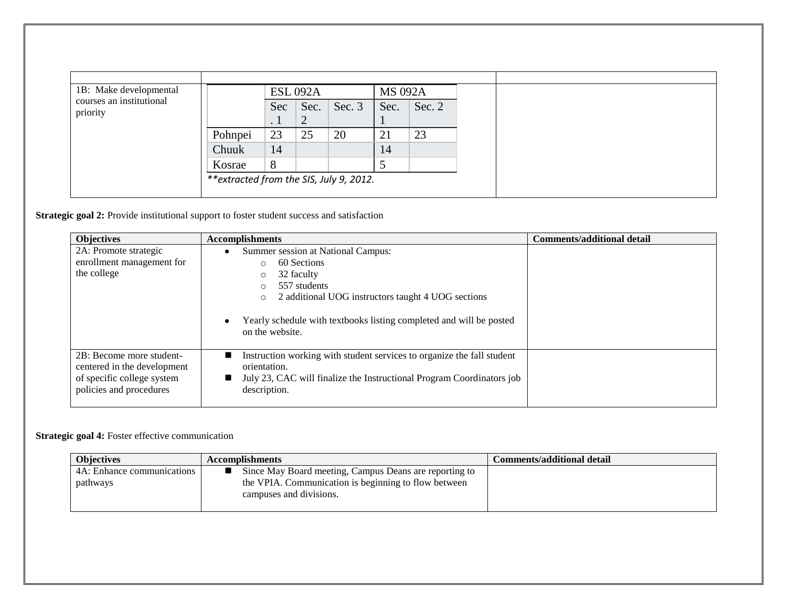| 1B: Make developmental<br>courses an institutional<br>priority |                                          |                  | <b>ESL 092A</b> |          | <b>MS 092A</b> |          |
|----------------------------------------------------------------|------------------------------------------|------------------|-----------------|----------|----------------|----------|
|                                                                |                                          | Sec<br>$\cdot$ 1 | Sec.<br>◠<br>∠  | Sec. $3$ | Sec.           | Sec. $2$ |
|                                                                | Pohnpei                                  | 23               | 25              | 20       | 21             | 23       |
|                                                                | Chuuk                                    | 14               |                 |          | 14             |          |
|                                                                | Kosrae                                   | 8                |                 |          |                |          |
|                                                                | ** extracted from the SIS, July 9, 2012. |                  |                 |          |                |          |

**Strategic goal 2:** Provide institutional support to foster student success and satisfaction

| <b>Objectives</b>                                                                                                | <b>Accomplishments</b>                                                                                                                                                                                                                                                       | <b>Comments/additional detail</b> |
|------------------------------------------------------------------------------------------------------------------|------------------------------------------------------------------------------------------------------------------------------------------------------------------------------------------------------------------------------------------------------------------------------|-----------------------------------|
| 2A: Promote strategic<br>enrollment management for<br>the college                                                | Summer session at National Campus:<br>60 Sections<br>$\circ$<br>32 faculty<br>$\circ$<br>557 students<br>$\Omega$<br>2 additional UOG instructors taught 4 UOG sections<br>$\circ$<br>Yearly schedule with textbooks listing completed and will be posted<br>on the website. |                                   |
| 2B: Become more student-<br>centered in the development<br>of specific college system<br>policies and procedures | Instruction working with student services to organize the fall student<br>orientation.<br>July 23, CAC will finalize the Instructional Program Coordinators job<br>description.                                                                                              |                                   |

## **Strategic goal 4:** Foster effective communication

| <b>Objectives</b>          | <b>Accomplishments</b>                                 | Comments/additional detail |
|----------------------------|--------------------------------------------------------|----------------------------|
| 4A: Enhance communications | Since May Board meeting, Campus Deans are reporting to |                            |
| pathways                   | the VPIA. Communication is beginning to flow between   |                            |
|                            | campuses and divisions.                                |                            |
|                            |                                                        |                            |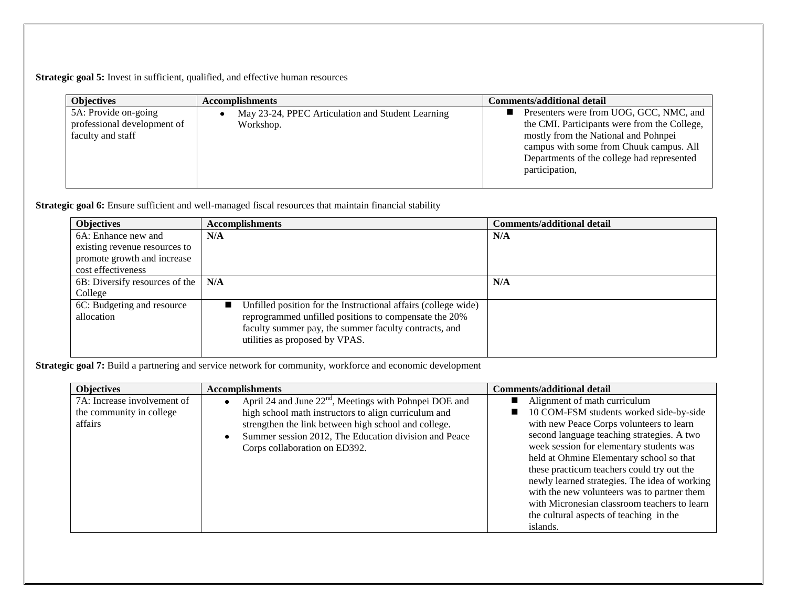**Strategic goal 5:** Invest in sufficient, qualified, and effective human resources

| <b>Objectives</b>                                                        | <b>Accomplishments</b>                                         | Comments/additional detail                                                                                                                                                                                                                 |
|--------------------------------------------------------------------------|----------------------------------------------------------------|--------------------------------------------------------------------------------------------------------------------------------------------------------------------------------------------------------------------------------------------|
| 5A: Provide on-going<br>professional development of<br>faculty and staff | May 23-24, PPEC Articulation and Student Learning<br>Workshop. | Presenters were from UOG, GCC, NMC, and<br>the CMI. Participants were from the College,<br>mostly from the National and Pohnpei<br>campus with some from Chuuk campus. All<br>Departments of the college had represented<br>participation, |

Strategic goal 6: Ensure sufficient and well-managed fiscal resources that maintain financial stability

| <b>Objectives</b>              | <b>Accomplishments</b>                                         | <b>Comments/additional detail</b> |
|--------------------------------|----------------------------------------------------------------|-----------------------------------|
| 6A: Enhance new and            | N/A                                                            | N/A                               |
| existing revenue resources to  |                                                                |                                   |
| promote growth and increase    |                                                                |                                   |
| cost effectiveness             |                                                                |                                   |
| 6B: Diversify resources of the | N/A                                                            | N/A                               |
| College                        |                                                                |                                   |
| 6C: Budgeting and resource     | Unfilled position for the Instructional affairs (college wide) |                                   |
| allocation                     | reprogrammed unfilled positions to compensate the 20%          |                                   |
|                                | faculty summer pay, the summer faculty contracts, and          |                                   |
|                                | utilities as proposed by VPAS.                                 |                                   |
|                                |                                                                |                                   |

**Strategic goal 7:** Build a partnering and service network for community, workforce and economic development

| <b>Objectives</b>           | <b>Accomplishments</b>                                                          | <b>Comments/additional detail</b>             |
|-----------------------------|---------------------------------------------------------------------------------|-----------------------------------------------|
| 7A: Increase involvement of | April 24 and June 22 <sup>nd</sup> , Meetings with Pohnpei DOE and<br>$\bullet$ | Alignment of math curriculum                  |
| the community in college    | high school math instructors to align curriculum and                            | 10 COM-FSM students worked side-by-side       |
| affairs                     | strengthen the link between high school and college.                            | with new Peace Corps volunteers to learn      |
|                             | Summer session 2012, The Education division and Peace                           | second language teaching strategies. A two    |
|                             | Corps collaboration on ED392.                                                   | week session for elementary students was      |
|                             |                                                                                 | held at Ohmine Elementary school so that      |
|                             |                                                                                 | these practicum teachers could try out the    |
|                             |                                                                                 | newly learned strategies. The idea of working |
|                             |                                                                                 | with the new volunteers was to partner them   |
|                             |                                                                                 | with Micronesian classroom teachers to learn  |
|                             |                                                                                 | the cultural aspects of teaching in the       |
|                             |                                                                                 | islands.                                      |